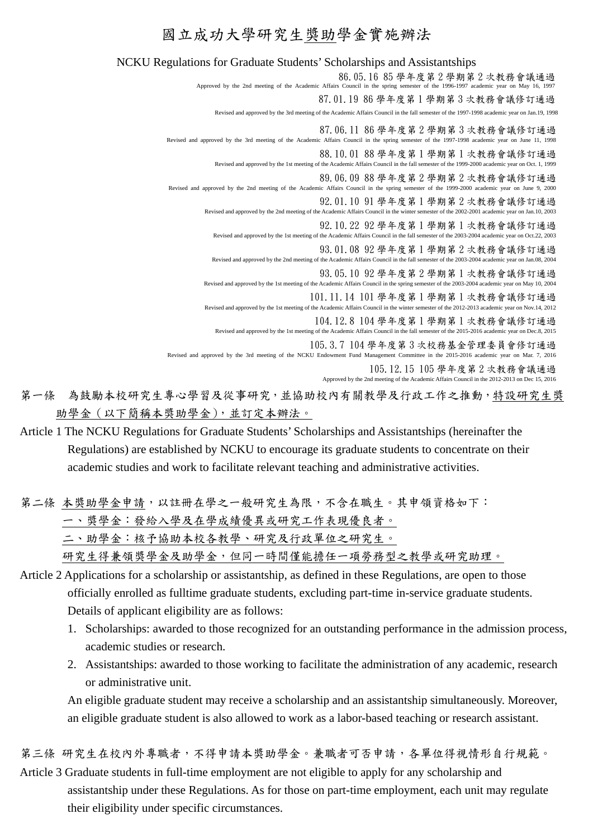## 國立成功大學研究生獎助學金實施辦法

## NCKU Regulations for Graduate Students' Scholarships and Assistantships 86.05.16 85 學年度第 2 學期第 2 次教務會議通過 Approved by the 2nd meeting of the Academic Affairs Council in the spring semester of the 1996-1997 academic year on May 16, 1997 87.01.19 86 學年度第 1 學期第 3 次教務會議修訂通過 Revised and approved by the 3rd meeting of the Academic Affairs Council in the fall semester of the 1997-1998 academic year on Jan.19, 1998 87.06.11 86 學年度第 2 學期第 3 次教務會議修訂通過 Revised and approved by the 3rd meeting of the Academic Affairs Council in the spring semester of the 1997-1998 academic year on June 11, 1998 88.10.01 88 學年度第 1 學期第 1 次教務會議修訂通過 Revised and approved by the 1st meeting of the Academic Affairs Council in the fall semester of the 1999-2000 academic year on Oct. 1, 1999 89.06.09 88 學年度第 2 學期第 2 次教務會議修訂通過 Revised and approved by the 2nd meeting of the Academic Affairs Council in the spring semester of the 1999-2000 academic year on June 9, 2000 92.01.10 91 學年度第 1 學期第 2 次教務會議修訂通過 Revised and approved by the 2nd meeting of the Academic Affairs Council in the winter semester of the 2002-2001 academic year on Jan.10, 2003 92.10.22 92 學年度第 1 學期第 1 次教務會議修訂通過 Revised and approved by the 1st meeting of the Academic Affairs Council in the fall semester of the 2003-2004 academic year on Oct.22, 2003 93.01.08 92 學年度第 1 學期第 2 次教務會議修訂通過 Revised and approved by the 2nd meeting of the Academic Affairs Council in the fall semester of the 2003-2004 academic year on Jan.08, 2004 93.05.10 92 學年度第 2 學期第 1 次教務會議修訂通過 Revised and approved by the 1st meeting of the Academic Affairs Council in the spring semester of the 2003-2004 academic year on May 10, 2004 101.11.14 101 學年度第 1 學期第 1 次教務會議修訂通過 Revised and approved by the 1st meeting of the Academic Affairs Council in the winter semester of the 2012-2013 academic year on Nov.14, 2012 104.12.8 104 學年度第 1 學期第 1 次教務會議修訂通過 Revised and approved by the 1st meeting of the Academic Affairs Council in the fall semester of the 2015-2016 academic year on Dec.8, 2015 105.3.7 104 學年度第 3 次校務基金管理委員會修訂通過 Revised and approved by the 3rd meeting of the NCKU Endowment Fund Management Committee in the 2015-2016 academic year on Mar. 7, 2016 105.12.15 105 學年度第 2 次教務會議通過 Approved by the 2nd meeting of the Academic Affairs Council in the 2012-2013 on Dec 15, 2016

- 第一條 為鼓勵本校研究生專心學習及從事研究,並協助校內有關教學及行政工作之推動,特設研究生獎 助學金(以下簡稱本獎助學金),並訂定本辦法。
- Article 1 The NCKU Regulations for Graduate Students' Scholarships and Assistantships (hereinafter the Regulations) are established by NCKU to encourage its graduate students to concentrate on their academic studies and work to facilitate relevant teaching and administrative activities.

第二條 本獎助學金申請,以註冊在學之一般研究生為限,不含在職生。其申領資格如下: 一、獎學金:發給入學及在學成績優異或研究工作表現優良者。

二、助學金:核予協助本校各教學、研究及行政單位之研究生。

研究生得兼領獎學金及助學金,但同一時間僅能擔任一項勞務型之教學或研究助理。

- Article 2 Applications for a scholarship or assistantship, as defined in these Regulations, are open to those officially enrolled as fulltime graduate students, excluding part-time in-service graduate students. Details of applicant eligibility are as follows:
	- 1. Scholarships: awarded to those recognized for an outstanding performance in the admission process, academic studies or research.
	- 2. Assistantships: awarded to those working to facilitate the administration of any academic, research or administrative unit.

An eligible graduate student may receive a scholarship and an assistantship simultaneously. Moreover, an eligible graduate student is also allowed to work as a labor-based teaching or research assistant.

第三條 研究生在校內外專職者,不得申請本獎助學金。兼職者可否申請,各單位得視情形自行規範。

Article 3 Graduate students in full-time employment are not eligible to apply for any scholarship and assistantship under these Regulations. As for those on part-time employment, each unit may regulate their eligibility under specific circumstances.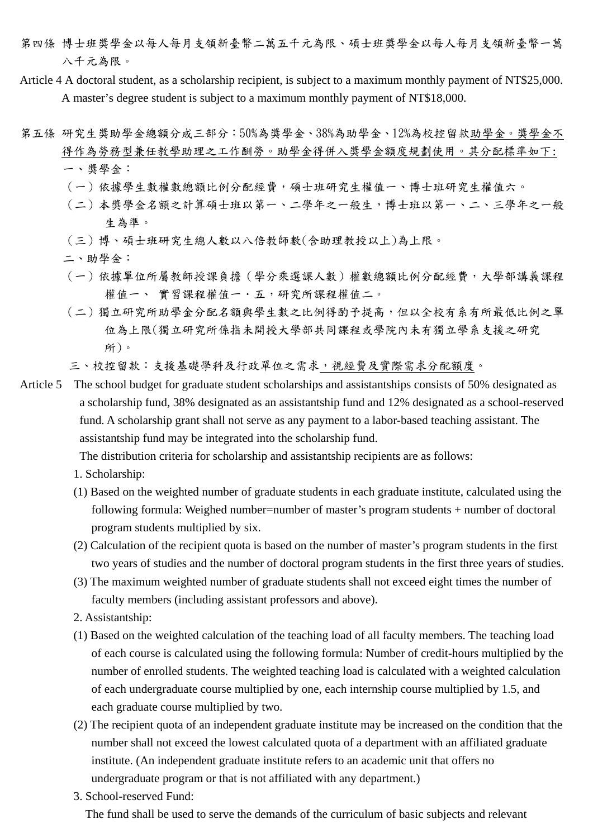- 第四條 博士班獎學金以每人每月支領新臺幣二萬五千元為限、碩士班獎學金以每人每月支領新臺幣一萬 八千元為限。
- Article 4 A doctoral student, as a scholarship recipient, is subject to a maximum monthly payment of NT\$25,000. A master's degree student is subject to a maximum monthly payment of NT\$18,000.
- 第五條 研究生獎助學金總額分成三部分:50%為獎學金、38%為助學金、12%為校控留款助學金。獎學金不 得作為勞務型兼任教學助理之工作酬勞。助學金得併入獎學金額度規劃使用。其分配標準如下: 一、獎學金:
	- (一)依據學生數權數總額比例分配經費,碩士班研究生權值一、博士班研究生權值六。
	- (二)本獎學金名額之計算碩士班以第一、二學年之一般生,博士班以第一、二、三學年之一般 生為準。
	- (三)博、碩士班研究生總人數以八倍教師數(含助理教授以上)為上限。
	- 二、助學金:
	- (一)依據單位所屬教師授課負擔(學分乘選課人數)權數總額比例分配經費,大學部講義課程 權值一、 實習課程權值一·五,研究所課程權值二。
	- (二)獨立研究所助學金分配名額與學生數之比例得酌予提高,但以全校有系有所最低比例之單 位為上限(獨立研究所係指未開授大學部共同課程或學院內未有獨立學系支援之研究 所)。
	- 三、校控留款:支援基礎學科及行政單位之需求,視經費及實際需求分配額度。
- Article 5 The school budget for graduate student scholarships and assistantships consists of 50% designated as a scholarship fund, 38% designated as an assistantship fund and 12% designated as a school-reserved fund. A scholarship grant shall not serve as any payment to a labor-based teaching assistant. The assistantship fund may be integrated into the scholarship fund.

The distribution criteria for scholarship and assistantship recipients are as follows:

- 1. Scholarship:
- (1) Based on the weighted number of graduate students in each graduate institute, calculated using the following formula: Weighed number=number of master's program students + number of doctoral program students multiplied by six.
- (2) Calculation of the recipient quota is based on the number of master's program students in the first two years of studies and the number of doctoral program students in the first three years of studies.
- (3) The maximum weighted number of graduate students shall not exceed eight times the number of faculty members (including assistant professors and above).
- 2. Assistantship:
- (1) Based on the weighted calculation of the teaching load of all faculty members. The teaching load of each course is calculated using the following formula: Number of credit-hours multiplied by the number of enrolled students. The weighted teaching load is calculated with a weighted calculation of each undergraduate course multiplied by one, each internship course multiplied by 1.5, and each graduate course multiplied by two.
- (2) The recipient quota of an independent graduate institute may be increased on the condition that the number shall not exceed the lowest calculated quota of a department with an affiliated graduate institute. (An independent graduate institute refers to an academic unit that offers no undergraduate program or that is not affiliated with any department.)
- 3. School-reserved Fund:

The fund shall be used to serve the demands of the curriculum of basic subjects and relevant